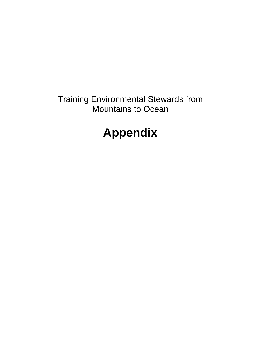Training Environmental Stewards from Mountains to Ocean

# **Appendix**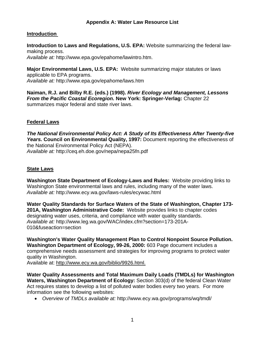## **Appendix A: Water Law Resource List**

## **Introduction**

**Introduction to Laws and Regulations, U.S. EPA:** Website summarizing the federal lawmaking process. *Available at:* http://www.epa.gov/epahome/lawintro.htm.

**Major Environmental Laws, U.S. EPA:** Website summarizing major statutes or laws applicable to EPA programs. *Available at:* http://www.epa.gov/epahome/laws.htm

**Naiman, R.J. and Bilby R.E. (eds.) (1998).** *River Ecology and Management, Lessons From the Pacific Coastal Ecoregion.* **New York: Springer-Verlag:** Chapter 22 summarizes major federal and state river laws.

#### **Federal Laws**

*The National Environmental Policy Act: A Study of Its Effectiveness After Twenty-five Years.* **Council on Environmental Quality, 1997:** Document reporting the effectiveness of the National Environmental Policy Act (NEPA). *Available at:* http://ceq.eh.doe.gov/nepa/nepa25fn.pdf

#### **State Laws**

**Washington State Department of Ecology-Laws and Rules:** Website providing links to Washington State environmental laws and rules, including many of the water laws. *Available at:* http://www.ecy.wa.gov/laws-rules/ecywac.html

**Water Quality Standards for Surface Waters of the State of Washington, Chapter 173- 201A, Washington Administrative Code:** Website provides links to chapter codes designating water uses, criteria, and compliance with water quality standards. *Available at:* http://www.leg.wa.gov/WAC/index.cfm?section=173-201A-010&fuseaction=section

**Washington's Water Quality Management Plan to Control Nonpoint Source Pollution. Washington Department of Ecology, 99-26, 2000:** 603 Page document includes a comprehensive needs assessment and strategies for improving programs to protect water quality in Washington.

Available at: http://www.ecy.wa.gov/biblio/9926.html.

**Water Quality Assessments and Total Maximum Daily Loads (TMDLs) for Washington Waters, Washington Department of Ecology:** Section 303(d) of the federal [Clean Water](http://www4.law.cornell.edu/uscode/33/ch26.html)  [Act](http://www4.law.cornell.edu/uscode/33/ch26.html) requires states to develop a list of polluted water bodies every two years. For more information see the following websites:

• *Overview of TMDLs available at:* http://www.ecy.wa.gov/programs/wq/tmdl/